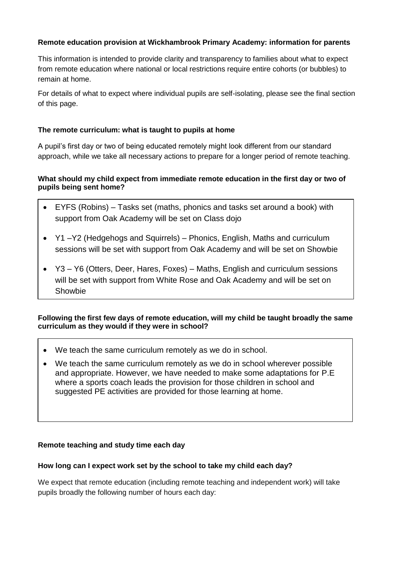## **Remote education provision at Wickhambrook Primary Academy: information for parents**

This information is intended to provide clarity and transparency to families about what to expect from remote education where national or local restrictions require entire cohorts (or bubbles) to remain at home.

For details of what to expect where individual pupils are self-isolating, please see the final section of this page.

## **The remote curriculum: what is taught to pupils at home**

A pupil's first day or two of being educated remotely might look different from our standard approach, while we take all necessary actions to prepare for a longer period of remote teaching.

# **What should my child expect from immediate remote education in the first day or two of pupils being sent home?**

- EYFS (Robins) Tasks set (maths, phonics and tasks set around a book) with support from Oak Academy will be set on Class dojo
- Y1 –Y2 (Hedgehogs and Squirrels) Phonics, English, Maths and curriculum sessions will be set with support from Oak Academy and will be set on Showbie
- Y3 Y6 (Otters, Deer, Hares, Foxes) Maths, English and curriculum sessions will be set with support from White Rose and Oak Academy and will be set on **Showbie**

**Following the first few days of remote education, will my child be taught broadly the same curriculum as they would if they were in school?**

- We teach the same curriculum remotely as we do in school.
- We teach the same curriculum remotely as we do in school wherever possible and appropriate. However, we have needed to make some adaptations for P.E where a sports coach leads the provision for those children in school and suggested PE activities are provided for those learning at home.

#### **Remote teaching and study time each day**

#### **How long can I expect work set by the school to take my child each day?**

We expect that remote education (including remote teaching and independent work) will take pupils broadly the following number of hours each day: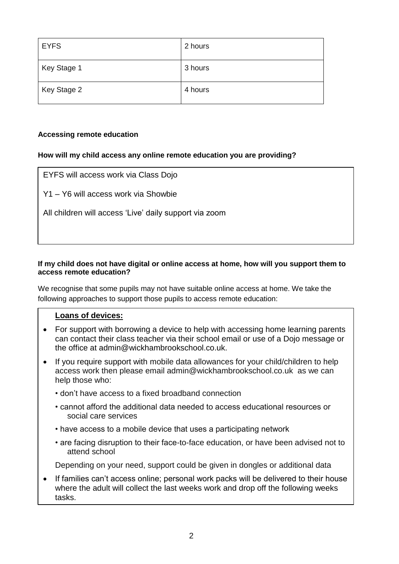| <b>EYFS</b> | 2 hours |
|-------------|---------|
| Key Stage 1 | 3 hours |
| Key Stage 2 | 4 hours |

## **Accessing remote education**

## **How will my child access any online remote education you are providing?**

| EYFS will access work via Class Dojo                   |  |
|--------------------------------------------------------|--|
| Y1 – Y6 will access work via Showbie                   |  |
| All children will access 'Live' daily support via zoom |  |
|                                                        |  |

## **If my child does not have digital or online access at home, how will you support them to access remote education?**

We recognise that some pupils may not have suitable online access at home. We take the following approaches to support those pupils to access remote education:

## **Loans of devices:**

- For support with borrowing a device to help with accessing home learning parents can contact their class teacher via their school email or use of a Dojo message or the office at admin@wickhambrookschool.co.uk.
- If you require support with mobile data allowances for your child/children to help access work then please email [admin@wickhambrookschool.co.uk](mailto:admin@wickhambrookschool.co.uk) as we can help those who:
	- don't have access to a fixed broadband connection
	- cannot afford the additional data needed to access educational resources or social care services
	- have access to a mobile device that uses a participating network
	- are facing disruption to their face-to-face education, or have been advised not to attend school

Depending on your need, support could be given in dongles or additional data

If families can't access online; personal work packs will be delivered to their house where the adult will collect the last weeks work and drop off the following weeks tasks.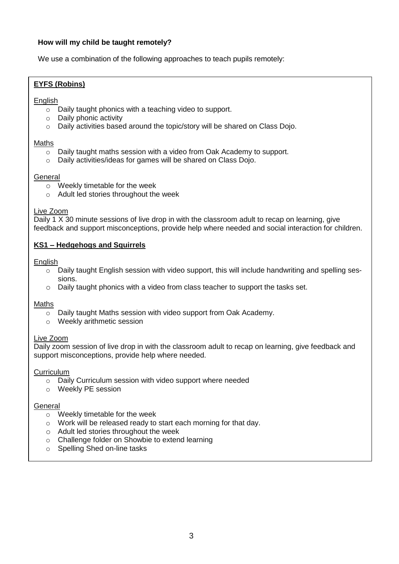## **How will my child be taught remotely?**

We use a combination of the following approaches to teach pupils remotely:

## **EYFS (Robins)**

#### English

- o Daily taught phonics with a teaching video to support.
- o Daily phonic activity
- o Daily activities based around the topic/story will be shared on Class Dojo.

#### Maths

- o Daily taught maths session with a video from Oak Academy to support.
- o Daily activities/ideas for games will be shared on Class Dojo.

#### **General**

- o Weekly timetable for the week
- o Adult led stories throughout the week

#### Live Zoom

Daily 1 X 30 minute sessions of live drop in with the classroom adult to recap on learning, give feedback and support misconceptions, provide help where needed and social interaction for children.

#### **KS1 – Hedgehogs and Squirrels**

#### **English**

- o Daily taught English session with video support, this will include handwriting and spelling sessions.
- $\circ$  Daily taught phonics with a video from class teacher to support the tasks set.

#### Maths

- o Daily taught Maths session with video support from Oak Academy.
- o Weekly arithmetic session

#### Live Zoom

Daily zoom session of live drop in with the classroom adult to recap on learning, give feedback and support misconceptions, provide help where needed.

#### **Curriculum**

- o Daily Curriculum session with video support where needed
- o Weekly PE session

#### **General**

- o Weekly timetable for the week
- o Work will be released ready to start each morning for that day.
- o Adult led stories throughout the week
- o Challenge folder on Showbie to extend learning
- o Spelling Shed on-line tasks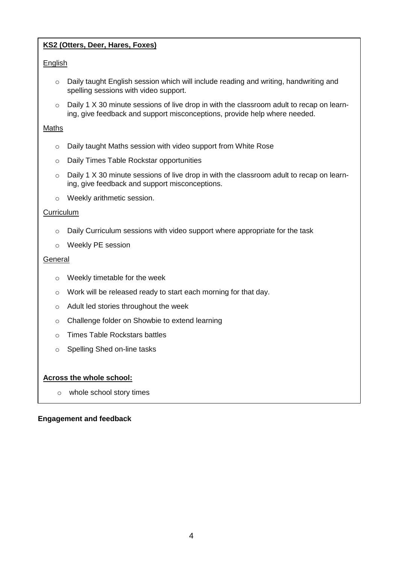# **KS2 (Otters, Deer, Hares, Foxes)**

## **English**

- o Daily taught English session which will include reading and writing, handwriting and spelling sessions with video support.
- $\circ$  Daily 1 X 30 minute sessions of live drop in with the classroom adult to recap on learning, give feedback and support misconceptions, provide help where needed.

## **Maths**

- o Daily taught Maths session with video support from White Rose
- o Daily Times Table Rockstar opportunities
- $\circ$  Daily 1 X 30 minute sessions of live drop in with the classroom adult to recap on learning, give feedback and support misconceptions.
- o Weekly arithmetic session.

#### **Curriculum**

- $\circ$  Daily Curriculum sessions with video support where appropriate for the task
- o Weekly PE session

#### **General**

- o Weekly timetable for the week
- o Work will be released ready to start each morning for that day.
- o Adult led stories throughout the week
- o Challenge folder on Showbie to extend learning

of the opportunity to be involved with school choirs of the opportunity to be involved with school choirs of the  $\alpha$ 

- o Times Table Rockstars battles
- o Spelling Shed on-line tasks

## **Across the whole school:**

o whole school story times

# **Engagement and feedback opportunity to change reading books via class teacher with a collection point and feedback**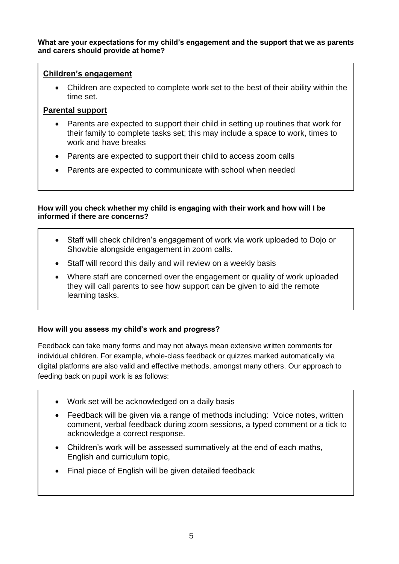#### **What are your expectations for my child's engagement and the support that we as parents and carers should provide at home?**

# **Children's engagement**

• Children are expected to complete work set to the best of their ability within the time set.

# **Parental support**

- Parents are expected to support their child in setting up routines that work for their family to complete tasks set; this may include a space to work, times to work and have breaks
- Parents are expected to support their child to access zoom calls
- Parents are expected to communicate with school when needed

## **How will you check whether my child is engaging with their work and how will I be informed if there are concerns?**

- Staff will check children's engagement of work via work uploaded to Dojo or Showbie alongside engagement in zoom calls.
- Staff will record this daily and will review on a weekly basis
- Where staff are concerned over the engagement or quality of work uploaded they will call parents to see how support can be given to aid the remote learning tasks.

## **How will you assess my child's work and progress?**

Feedback can take many forms and may not always mean extensive written comments for individual children. For example, whole-class feedback or quizzes marked automatically via digital platforms are also valid and effective methods, amongst many others. Our approach to feeding back on pupil work is as follows:

- Work set will be acknowledged on a daily basis
- Feedback will be given via a range of methods including: Voice notes, written comment, verbal feedback during zoom sessions, a typed comment or a tick to acknowledge a correct response.
- Children's work will be assessed summatively at the end of each maths, English and curriculum topic,
- Final piece of English will be given detailed feedback